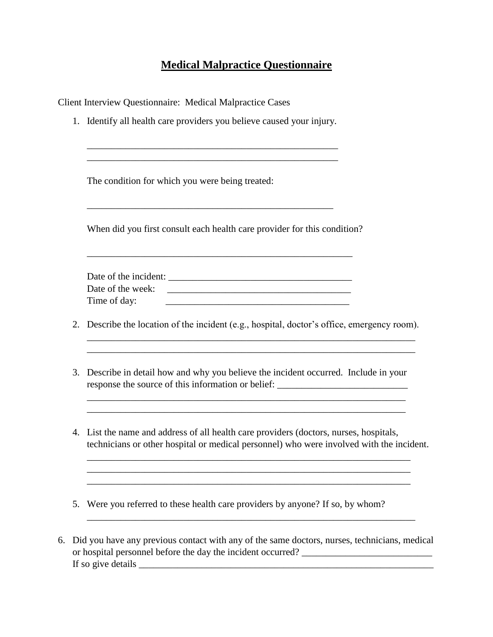## **Medical Malpractice Questionnaire**

Client Interview Questionnaire: Medical Malpractice Cases

1. Identify all health care providers you believe caused your injury.

\_\_\_\_\_\_\_\_\_\_\_\_\_\_\_\_\_\_\_\_\_\_\_\_\_\_\_\_\_\_\_\_\_\_\_\_\_\_\_\_\_\_\_\_\_\_\_\_\_\_\_\_ \_\_\_\_\_\_\_\_\_\_\_\_\_\_\_\_\_\_\_\_\_\_\_\_\_\_\_\_\_\_\_\_\_\_\_\_\_\_\_\_\_\_\_\_\_\_\_\_\_\_\_\_

\_\_\_\_\_\_\_\_\_\_\_\_\_\_\_\_\_\_\_\_\_\_\_\_\_\_\_\_\_\_\_\_\_\_\_\_\_\_\_\_\_\_\_\_\_\_\_\_\_\_\_

The condition for which you were being treated:

\_\_\_\_\_\_\_\_\_\_\_\_\_\_\_\_\_\_\_\_\_\_\_\_\_\_\_\_\_\_\_\_\_\_\_\_\_\_\_\_\_\_\_\_\_\_\_\_\_\_\_\_\_\_\_\_\_\_\_\_\_\_\_\_\_\_

When did you first consult each health care provider for this condition?

| Date of the incident: |  |
|-----------------------|--|
| Date of the week:     |  |
| Time of day:          |  |

\_\_\_\_\_\_\_\_\_\_\_\_\_\_\_\_\_\_\_\_\_\_\_\_\_\_\_\_\_\_\_\_\_\_\_\_\_\_\_\_\_\_\_\_\_\_\_\_\_\_\_\_\_\_\_

2. Describe the location of the incident (e.g., hospital, doctor's office, emergency room).

\_\_\_\_\_\_\_\_\_\_\_\_\_\_\_\_\_\_\_\_\_\_\_\_\_\_\_\_\_\_\_\_\_\_\_\_\_\_\_\_\_\_\_\_\_\_\_\_\_\_\_\_\_\_\_\_\_\_\_\_\_\_\_\_\_\_\_\_

- 3. Describe in detail how and why you believe the incident occurred. Include in your response the source of this information or belief: \_\_\_\_\_\_\_\_\_\_\_\_\_\_\_\_\_\_\_\_\_\_\_\_\_\_\_\_\_\_
- 4. List the name and address of all health care providers (doctors, nurses, hospitals, technicians or other hospital or medical personnel) who were involved with the incident.

\_\_\_\_\_\_\_\_\_\_\_\_\_\_\_\_\_\_\_\_\_\_\_\_\_\_\_\_\_\_\_\_\_\_\_\_\_\_\_\_\_\_\_\_\_\_\_\_\_\_\_\_\_\_\_\_\_\_\_\_\_\_\_\_\_\_\_ \_\_\_\_\_\_\_\_\_\_\_\_\_\_\_\_\_\_\_\_\_\_\_\_\_\_\_\_\_\_\_\_\_\_\_\_\_\_\_\_\_\_\_\_\_\_\_\_\_\_\_\_\_\_\_\_\_\_\_\_\_\_\_\_\_\_\_ \_\_\_\_\_\_\_\_\_\_\_\_\_\_\_\_\_\_\_\_\_\_\_\_\_\_\_\_\_\_\_\_\_\_\_\_\_\_\_\_\_\_\_\_\_\_\_\_\_\_\_\_\_\_\_\_\_\_\_\_\_\_\_\_\_\_\_

\_\_\_\_\_\_\_\_\_\_\_\_\_\_\_\_\_\_\_\_\_\_\_\_\_\_\_\_\_\_\_\_\_\_\_\_\_\_\_\_\_\_\_\_\_\_\_\_\_\_\_\_\_\_\_\_\_\_\_\_\_\_\_\_\_\_

- 5. Were you referred to these health care providers by anyone? If so, by whom?
- 6. Did you have any previous contact with any of the same doctors, nurses, technicians, medical or hospital personnel before the day the incident occurred? \_\_\_\_\_\_\_\_\_\_\_\_\_\_\_\_\_\_\_\_\_\_\_\_\_\_\_ If so give details

\_\_\_\_\_\_\_\_\_\_\_\_\_\_\_\_\_\_\_\_\_\_\_\_\_\_\_\_\_\_\_\_\_\_\_\_\_\_\_\_\_\_\_\_\_\_\_\_\_\_\_\_\_\_\_\_\_\_\_\_\_\_\_\_\_\_\_\_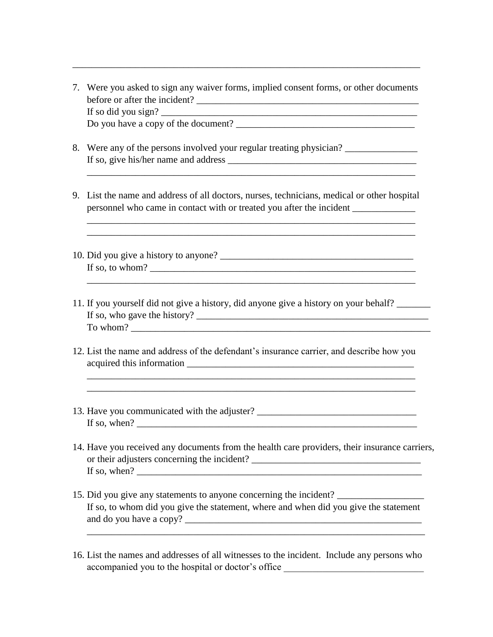7. Were you asked to sign any waiver forms, implied consent forms, or other documents before or after the incident? \_\_\_\_\_\_\_\_\_\_\_\_\_\_\_\_\_\_\_\_\_\_\_\_\_\_\_\_\_\_\_\_\_\_\_\_\_\_\_\_\_\_\_\_\_\_ If so did you sign? Do you have a copy of the document? \_\_\_\_\_\_\_\_\_\_\_\_\_\_\_\_\_\_\_\_\_\_\_\_\_\_\_\_\_\_\_\_\_\_\_\_\_

\_\_\_\_\_\_\_\_\_\_\_\_\_\_\_\_\_\_\_\_\_\_\_\_\_\_\_\_\_\_\_\_\_\_\_\_\_\_\_\_\_\_\_\_\_\_\_\_\_\_\_\_\_\_\_\_\_\_\_\_\_\_\_\_\_\_\_\_\_\_\_\_

- 8. Were any of the persons involved your regular treating physician? If so, give his/her name and address \_\_\_\_\_\_\_\_\_\_\_\_\_\_\_\_\_\_\_\_\_\_\_\_\_\_\_\_\_\_\_\_\_\_\_\_\_\_\_
- 9. List the name and address of all doctors, nurses, technicians, medical or other hospital personnel who came in contact with or treated you after the incident \_\_\_\_\_\_\_\_\_\_\_

\_\_\_\_\_\_\_\_\_\_\_\_\_\_\_\_\_\_\_\_\_\_\_\_\_\_\_\_\_\_\_\_\_\_\_\_\_\_\_\_\_\_\_\_\_\_\_\_\_\_\_\_\_\_\_\_\_\_\_\_\_\_\_\_\_\_\_\_

\_\_\_\_\_\_\_\_\_\_\_\_\_\_\_\_\_\_\_\_\_\_\_\_\_\_\_\_\_\_\_\_\_\_\_\_\_\_\_\_\_\_\_\_\_\_\_\_\_\_\_\_\_\_\_\_\_\_\_\_\_\_\_\_\_\_\_\_

 $\_$  ,  $\_$  ,  $\_$  ,  $\_$  ,  $\_$  ,  $\_$  ,  $\_$  ,  $\_$  ,  $\_$  ,  $\_$  ,  $\_$  ,  $\_$  ,  $\_$  ,  $\_$  ,  $\_$  ,  $\_$  ,  $\_$  ,  $\_$  ,  $\_$  ,  $\_$ 

\_\_\_\_\_\_\_\_\_\_\_\_\_\_\_\_\_\_\_\_\_\_\_\_\_\_\_\_\_\_\_\_\_\_\_\_\_\_\_\_\_\_\_\_\_\_\_\_\_\_\_\_\_\_\_\_\_\_\_\_\_\_\_\_\_\_\_\_

- 10. Did you give a history to anyone? \_\_\_\_\_\_\_\_\_\_\_\_\_\_\_\_\_\_\_\_\_\_\_\_\_\_\_\_\_\_\_\_\_\_\_\_\_\_\_\_ If so, to whom? \_\_\_\_\_\_\_\_\_\_\_\_\_\_\_\_\_\_\_\_\_\_\_\_\_\_\_\_\_\_\_\_\_\_\_\_\_\_\_\_\_\_\_\_\_\_\_\_\_\_\_\_\_\_\_
- 11. If you yourself did not give a history, did anyone give a history on your behalf? \_\_\_\_\_\_\_ If so, who gave the history?  $\frac{1}{\sqrt{1-\frac{1}{2}}\sqrt{1-\frac{1}{2}}\sqrt{1-\frac{1}{2}}\sqrt{1-\frac{1}{2}}\sqrt{1-\frac{1}{2}}\sqrt{1-\frac{1}{2}}\sqrt{1-\frac{1}{2}}\sqrt{1-\frac{1}{2}}\sqrt{1-\frac{1}{2}}\sqrt{1-\frac{1}{2}}\sqrt{1-\frac{1}{2}}\sqrt{1-\frac{1}{2}}\sqrt{1-\frac{1}{2}}\sqrt{1-\frac{1}{2}}\sqrt{1-\frac{1}{2}}\sqrt{1-\frac{1}{2}}\sqrt{1-\frac{1}{2$ To whom? \_\_\_\_\_\_\_\_\_\_\_\_\_\_\_\_\_\_\_\_\_\_\_\_\_\_\_\_\_\_\_\_\_\_\_\_\_\_\_\_\_\_\_\_\_\_\_\_\_\_\_\_\_\_\_\_\_\_\_\_\_\_
- 12. List the name and address of the defendant's insurance carrier, and describe how you acquired this information

\_\_\_\_\_\_\_\_\_\_\_\_\_\_\_\_\_\_\_\_\_\_\_\_\_\_\_\_\_\_\_\_\_\_\_\_\_\_\_\_\_\_\_\_\_\_\_\_\_\_\_\_\_\_\_\_\_\_\_\_\_\_\_\_\_\_\_\_ \_\_\_\_\_\_\_\_\_\_\_\_\_\_\_\_\_\_\_\_\_\_\_\_\_\_\_\_\_\_\_\_\_\_\_\_\_\_\_\_\_\_\_\_\_\_\_\_\_\_\_\_\_\_\_\_\_\_\_\_\_\_\_\_\_\_\_\_

- 13. Have you communicated with the adjuster? \_\_\_\_\_\_\_\_\_\_\_\_\_\_\_\_\_\_\_\_\_\_\_\_\_\_\_\_\_\_\_\_\_\_\_ If so, when? \_\_\_\_\_\_\_\_\_\_\_\_\_\_\_\_\_\_\_\_\_\_\_\_\_\_\_\_\_\_\_\_\_\_\_\_\_\_\_\_\_\_\_\_\_\_\_\_\_\_\_\_\_\_\_\_\_\_
- 14. Have you received any documents from the health care providers, their insurance carriers, or their adjusters concerning the incident? \_\_\_\_\_\_\_\_\_\_\_\_\_\_\_\_\_\_\_\_\_\_\_\_\_\_\_\_\_\_\_\_\_\_\_ If so, when? \_\_\_\_\_\_\_\_\_\_\_\_\_\_\_\_\_\_\_\_\_\_\_\_\_\_\_\_\_\_\_\_\_\_\_\_\_\_\_\_\_\_\_\_\_\_\_\_\_\_\_\_\_\_\_\_\_\_\_
- 15. Did you give any statements to anyone concerning the incident? \_\_\_\_\_\_\_\_\_\_\_\_\_\_\_\_\_\_ If so, to whom did you give the statement, where and when did you give the statement and do you have a copy?

\_\_\_\_\_\_\_\_\_\_\_\_\_\_\_\_\_\_\_\_\_\_\_\_\_\_\_\_\_\_\_\_\_\_\_\_\_\_\_\_\_\_\_\_\_\_\_\_\_\_\_\_\_\_\_\_\_\_\_\_\_\_\_\_\_\_\_\_\_\_

16. List the names and addresses of all witnesses to the incident. Include any persons who accompanied you to the hospital or doctor's office